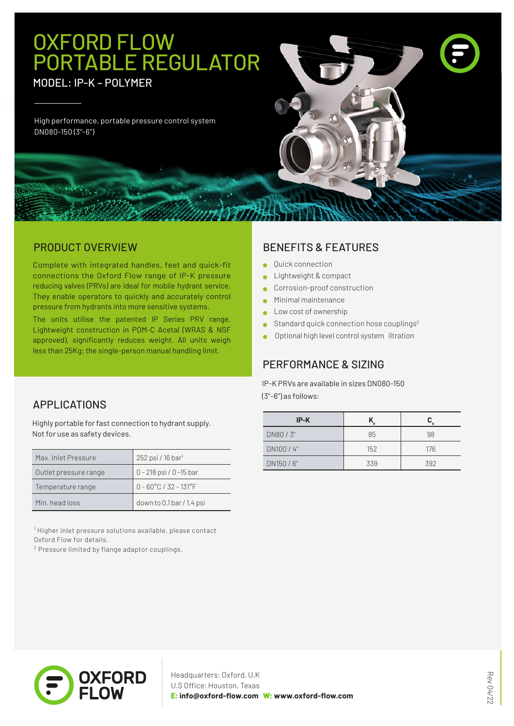# OXFORD FLOW PORTABLE REGULATOR

MODEL: IP-K – POLYMER

High performance, portable pressure control system DN080-150 (3"-6")

#### PRODUCT OVERVIEW

Complete with integrated handles, feet and quick-fit connections the Oxford Flow range of IP-K pressure reducing valves (PRVs) are ideal for mobile hydrant service. They enable operators to quickly and accurately control pressure from hydrants into more sensitive systems.

The units utilise the patented IP Series PRV range. Lightweight construction in POM-C Acetal (WRAS & NSF approved), significantly reduces weight. All units weigh less than 25Kg; the single-person manual handling limit.

### APPLICATIONS

Highly portable for fast connection to hydrant supply. Not for use as safety devices.

| Max. Inlet Pressure   | 252 psi / 16 bar <sup>1</sup>   |
|-----------------------|---------------------------------|
| Outlet pressure range | 0 - 218 psi / 0 -15 bar         |
| Temperature range     | $0 - 60^{\circ}$ C / 32 - 131°F |
| Min. head loss        | down to 0.1 bar / 1.4 psi       |

<sup>1</sup> Higher inlet pressure solutions available, please contact Oxford Flow for details.

2 Pressure limited by flange adaptor couplings.

#### BENEFITS & FEATURES

- Quick connection  $\blacksquare$
- Lightweight & compact ä
- Corrosion-proof construction  $\bullet$
- Minimal maintenance
- Low cost of ownership
- Standard quick connection hose couplings<sup>2</sup>
- Optional high level control system iltration

#### PERFORMANCE & SIZING

IP-K PRVs are available in sizes DN080-150 (3"-6") as follows:

| $IP-K$   |     |     |
|----------|-----|-----|
| DN80/3"  | 85  | 98  |
| DN100/4" | 152 | 176 |
| DN150/6" | 339 | 392 |